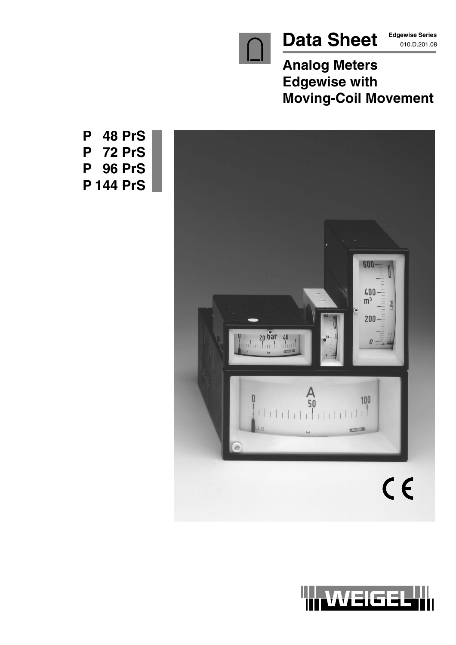

**Edgewise Series**

**Analog Meters Edgewise with Moving-Coil Movement**



**P 48 PrS P 72 PrS P 96 PrS P 144 PrS**

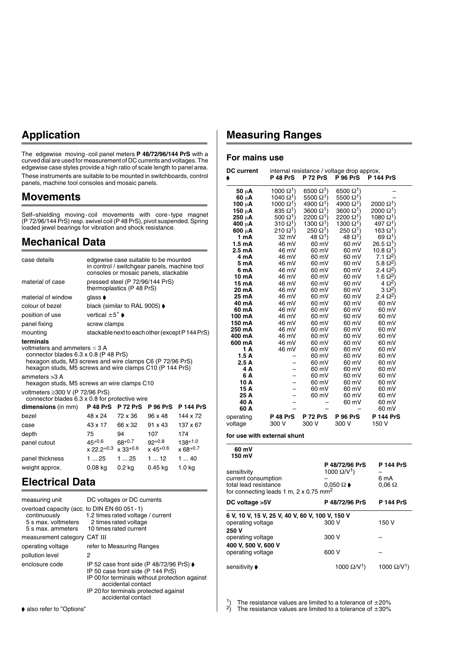## **Application**

The edgewise moving-coil panel meters **P 48/72/96/144 PrS** with a curved dial are used for measurement of DC currents and voltages. The edgewise case styles provide a high ratio of scale length to panel area. These instruments are suitable to be mounted in switchboards, control panels, machine tool consoles and mosaic panels.

#### **Movements**

Self–shielding moving-coil movements with core-type magnet (P 72/96/144 PrS) resp. swivel coil (P 48 PrS), pivot suspended. Spring loaded jewel bearings for vibration and shock resistance.

#### **Mechanical Data**

| case details       |                                                                                                                                                                                                                                                                                                                                                             |                                                              | edgewise case suitable to be mounted<br>in control / switchgear panels, machine tool<br>consoles or mosaic panels, stackable |                                                 |
|--------------------|-------------------------------------------------------------------------------------------------------------------------------------------------------------------------------------------------------------------------------------------------------------------------------------------------------------------------------------------------------------|--------------------------------------------------------------|------------------------------------------------------------------------------------------------------------------------------|-------------------------------------------------|
| material of case   |                                                                                                                                                                                                                                                                                                                                                             | pressed steel (P 72/96/144 PrS)<br>thermoplastics (P 48 PrS) |                                                                                                                              |                                                 |
| material of window | glass $\blacklozenge$                                                                                                                                                                                                                                                                                                                                       |                                                              |                                                                                                                              |                                                 |
| colour of bezel    |                                                                                                                                                                                                                                                                                                                                                             | black (similar to RAL 9005) ♦                                |                                                                                                                              |                                                 |
| position of use    | vertical $\pm 5^{\circ}$ $\bullet$                                                                                                                                                                                                                                                                                                                          |                                                              |                                                                                                                              |                                                 |
| panel fixing       | screw clamps                                                                                                                                                                                                                                                                                                                                                |                                                              |                                                                                                                              |                                                 |
| mounting           |                                                                                                                                                                                                                                                                                                                                                             |                                                              |                                                                                                                              | stackable next to each other (except P 144 PrS) |
| ammeters $>3$ A    | terminals<br>voltmeters and ammeters $\leq$ 3 A<br>connector blades 6.3 x 0.8 (P 48 PrS)<br>hexagon studs, M3 screws and wire clamps C6 (P 72/96 PrS)<br>hexagon studs, M5 screws and wire clamps C10 (P 144 PrS)<br>hexagon studs, M5 screws an wire clamps C10<br>voltmeters $\geq$ 300 V (P 72/96 PrS)<br>connector blades 6.3 x 0.8 for protective wire |                                                              |                                                                                                                              |                                                 |
| dimensions (in mm) | <b>P</b> 48 PrS                                                                                                                                                                                                                                                                                                                                             | <b>P 72 PrS</b>                                              | <b>P 96 PrS</b>                                                                                                              | <b>P 144 PrS</b>                                |
| bezel              | 48 x 24                                                                                                                                                                                                                                                                                                                                                     | 72 x 36                                                      | 96 x 48                                                                                                                      | 144 x 72                                        |
| case               | 43 x 17                                                                                                                                                                                                                                                                                                                                                     | 66 x 32                                                      | 91 x 43                                                                                                                      | 137 x 67                                        |
| depth              | 75                                                                                                                                                                                                                                                                                                                                                          | 94                                                           | 107                                                                                                                          | 174                                             |
| panel cutout       | $45^{+0.6}$<br>$x 22.2^{+0.3}$ $x 33^{+0.6}$                                                                                                                                                                                                                                                                                                                | $68^{+0.7}$                                                  | $92^{+0.8}$<br>$x$ 45+0.6                                                                                                    | $138+1.0$<br>$x 68+0.7$                         |
| panel thickness    | 125                                                                                                                                                                                                                                                                                                                                                         | 125                                                          | 112                                                                                                                          | 140                                             |
| weight approx.     | $0.08$ kg                                                                                                                                                                                                                                                                                                                                                   | 0.2 kg                                                       | $0.45$ kg                                                                                                                    | 1.0 kg                                          |

### **Electrical Data**

| measuring unit                                                                                            | DC voltages or DC currents                                                                                                                                                                                                               |
|-----------------------------------------------------------------------------------------------------------|------------------------------------------------------------------------------------------------------------------------------------------------------------------------------------------------------------------------------------------|
| overload capacity (acc. to DIN EN 60 051 - 1)<br>continuously<br>5 s max, voltmeters<br>5 s max. ammeters | 1.2 times rated voltage / current<br>2 times rated voltage<br>10 times rated current                                                                                                                                                     |
| measurement category CAT III                                                                              |                                                                                                                                                                                                                                          |
| operating voltage                                                                                         | refer to Measuring Ranges                                                                                                                                                                                                                |
| pollution level                                                                                           | 2                                                                                                                                                                                                                                        |
| enclosure code                                                                                            | IP 52 case front side (P 48/72/96 PrS) $\blacktriangleright$<br>IP 50 case front side (P 144 PrS)<br>IP 00 for terminals without protection against<br>accidental contact<br>IP 20 for terminals protected against<br>accidental contact |

### **Measuring Ranges**

#### **For mains use**

| <b>DC current</b>                                         |                              |                              | internal resistance / voltage drop approx. |                              |
|-----------------------------------------------------------|------------------------------|------------------------------|--------------------------------------------|------------------------------|
|                                                           | <b>P 48 PrS</b>              | <b>P 72 PrS</b>              | <b>P 96 PrS</b>                            | <b>P 144 PrS</b>             |
| 50 μA                                                     | 1000 $\Omega$ <sup>1</sup> ) | 6500 $\Omega$ <sup>1</sup> ) | 6500 $\Omega^1$ )                          |                              |
| $60 \mu A$                                                | 1040 $\Omega^1$ )            | 5500 $\Omega^1$ )            | 5500 $\Omega^1$ )                          |                              |
| 100 μA                                                    | 1000 $\Omega$ <sup>1</sup> ) | $4900 \Omega$ <sup>1</sup> ) | $4900 \Omega$ <sup>1</sup> )               | $2000 \Omega^1$              |
| 150 µA                                                    | $835 \Omega$ <sup>1</sup> )  | $3600 \ \Omega^1$ )          | $3600 \Omega$ <sup>1</sup> )               | $2000 \ \Omega^1$            |
| 250 µA                                                    | 500 $\Omega$ <sup>1</sup> )  | $2200 \Omega^1$              | 2200 Ω <sup>1</sup> )                      | $1080 \Omega$ <sup>1</sup>   |
| 400 µA                                                    | $310 \,\Omega^{1}$           | 1300 $\Omega$ <sup>1</sup> ) | 1300 $\Omega$ <sup>1</sup> )               | $497\ \Omega^{1}$            |
| 600 uA                                                    | $210 \Omega$ <sup>1</sup> )  | $250 \Omega$ <sup>1</sup> )  | 250 $\Omega^1$ )                           | $163\,\Omega^{1}$            |
| 1 mA                                                      | 32 mV                        | 48 Q <sup>1</sup> )          | 48 Q <sup>1</sup> )                        | $69 \Omega$ <sup>1</sup> )   |
| 1.5 mA                                                    | 46 mV                        | 60 mV                        | 60 mV                                      | $26.5\ \Omega^{1}\$          |
| 2.5 mA                                                    | 46 mV                        | 60 mV                        | 60 mV                                      | $10.8 \Omega$ <sup>1</sup> ) |
| 4 mA                                                      | 46 mV                        | 60 mV                        | 60 mV                                      | 7.1 $\Omega^2$               |
| 5 mA                                                      | 46 mV                        | 60 mV                        | 60 mV                                      | 5.8 $\Omega^2$               |
| 6 mA                                                      | 46 mV                        | 60 mV                        | 60 mV                                      | 2.4 $\Omega^2$ )             |
| 10 mA                                                     | 46 mV                        | 60 mV                        | 60 mV                                      | 1.6 $\Omega^2$               |
| 15 mA                                                     | 46 mV                        | 60 mV                        | 60 mV                                      | $4 \Omega^{2}$               |
| 20 mA                                                     | 46 mV                        | 60 mV                        | 60 mV                                      | $3 \Omega^2$                 |
| 25 mA                                                     | 46 mV                        | 60 mV                        | 60 mV                                      | 2.4 Q <sup>2</sup> )         |
| 40 mA<br>60 mA                                            | 46 mV<br>46 mV               | 60 mV<br>60 mV               | 60 mV<br>60 mV                             | 60 mV<br>60 mV               |
| 100 mA                                                    | 46 mV                        | 60 mV                        | 60 mV                                      | 60 mV                        |
| 150 mA                                                    | 46 mV                        | 60 mV                        | 60 mV                                      | 60 mV                        |
| 250 mA                                                    | 46 mV                        | 60 mV                        | 60 mV                                      | 60 mV                        |
| 400 mA                                                    | 46 mV                        | 60 mV                        | 60 mV                                      | 60 mV                        |
| 600 mA                                                    | 46 mV                        | 60 mV                        | 60 mV                                      | 60 mV                        |
| 1 A                                                       | 46 mV                        | 60 mV                        | 60 mV                                      | 60 mV                        |
| 1.5A                                                      |                              | 60 mV                        | 60 mV                                      | 60 mV                        |
| 2.5A                                                      |                              | 60 mV                        | 60 mV                                      | 60 mV                        |
| 4 A                                                       |                              | 60 mV                        | 60 mV                                      | 60 mV                        |
| 6 A                                                       |                              | 60 mV                        | 60 mV                                      | 60 mV                        |
| 10 A                                                      |                              | 60 mV                        | 60 mV                                      | 60 mV                        |
| 15 A                                                      | $\overline{\phantom{0}}$     | 60 mV                        | 60 mV                                      | 60 mV                        |
| 25 A                                                      |                              | 60 mV                        | 60 mV                                      | 60 mV                        |
| 40 A                                                      |                              |                              | 60 mV                                      | 60 mV                        |
| 60 A                                                      |                              |                              |                                            | 60 mV                        |
| operating                                                 | <b>P 48 PrS</b>              | <b>P 72 PrS</b>              | <b>P 96 PrS</b>                            | <b>P 144 PrS</b>             |
| voltage                                                   | 300 V                        | 300 V                        | 300 V                                      | 150 V                        |
| for use with external shunt                               |                              |                              |                                            |                              |
| 60 mV<br>150 mV                                           |                              |                              |                                            |                              |
|                                                           |                              |                              | P 48/72/96 PrS                             | P 144 PrS                    |
| sensitivity                                               |                              |                              | 1000 $\Omega$ /V <sup>1</sup> )            |                              |
| current consumption                                       |                              |                              |                                            | 6 mA                         |
| total lead resistance                                     |                              |                              | $0.050 \Omega \rightarrow$                 | $0.06\ \Omega$               |
| for connecting leads 1 m, $2 \times 0.75$ mm <sup>2</sup> |                              |                              |                                            |                              |
|                                                           |                              |                              | P 48/72/96 PrS                             | <b>P 144 PrS</b>             |
| DC voltage >5V                                            |                              |                              |                                            |                              |

| 6 V, 10 V, 15 V, 25 V, 40 V, 60 V, 100 V, 150 V |                     |                     |
|-------------------------------------------------|---------------------|---------------------|
| operating voltage                               | 300 V               | 150 V               |
| 250 V                                           |                     |                     |
| operating voltage                               | 300 V               |                     |
| 400 V, 500 V, 600 V                             |                     |                     |
| operating voltage                               | 600 V               |                     |
|                                                 |                     |                     |
| sensitivitv ♦                                   | 1000 $\Omega/V^1$ ) | 1000 $\Omega/V^1$ ) |

<sup>1</sup>) The resistance values are limited to a tolerance of  $\pm 20\%$ 

<sup>2</sup>) The resistance values are limited to a tolerance of  $\pm 30\%$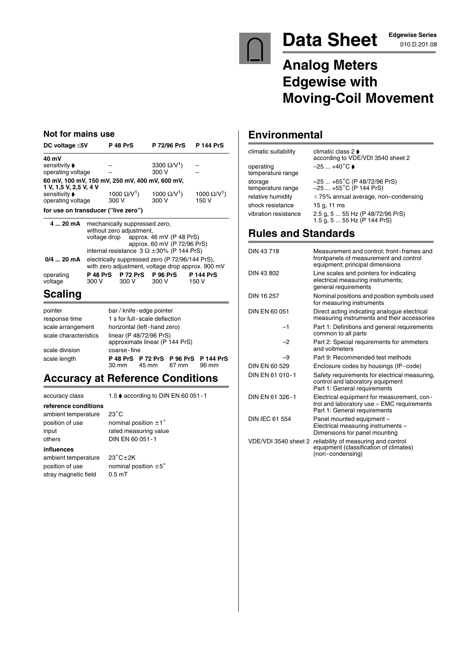

# Data Sheet **Edgewise Series**

**Edgewise Series**

# **Analog Meters Edgewise with Moving-Coil Movement**

#### **Not for mains use**

| DC voltage $\leq 5V$                                                     | <b>P 48 PrS</b>                 | P 72/96 PrS P 144 PrS           |                                 |
|--------------------------------------------------------------------------|---------------------------------|---------------------------------|---------------------------------|
| 40 mV                                                                    |                                 |                                 |                                 |
| sensitivity ♦                                                            |                                 | 3300 $\Omega$ /V <sup>1</sup> ) |                                 |
| operating voltage                                                        |                                 | 300 V                           |                                 |
| 60 mV, 100 mV, 150 mV, 250 mV, 400 mV, 600 mV,<br>1 V, 1,5 V, 2,5 V, 4 V |                                 |                                 |                                 |
| sensitivity ♦                                                            | 1000 $\Omega$ /V <sup>1</sup> ) | 1000 $\Omega$ /V <sup>1</sup> ) | 1000 $\Omega$ /V <sup>1</sup> ) |
| operating voltage                                                        | 300 V                           | 300 V                           | 150 V                           |
| for use on transducer ("live zero")                                      |                                 |                                 |                                 |

| 4  20 mA             | mechanically suppressed zero, | without zero adjustment, |                                                                      |                                                   |
|----------------------|-------------------------------|--------------------------|----------------------------------------------------------------------|---------------------------------------------------|
|                      |                               |                          | voltage drop approx. 46 mV (P 48 PrS)<br>approx. 60 mV (P 72/96 PrS) |                                                   |
|                      |                               |                          | internal resistance $3 \Omega \pm 30$ % (P 144 PrS)                  |                                                   |
| $0/4$ 20 mA          |                               |                          | electrically suppressed zero (P 72/96/144 PrS),                      | with zero adjustment, voltage drop approx. 900 mV |
| operating<br>voltage | P 48 PrS<br>300 V             | <b>P 72 PrS</b><br>300 V | <b>P 96 PrS</b><br>300 V                                             | <b>P 144 PrS</b><br>150 V                         |

### **Scaling**

| pointer               |                 | bar / knife - edge pointer                                |                                      |       |
|-----------------------|-----------------|-----------------------------------------------------------|--------------------------------------|-------|
| response time         |                 | 1 s for full-scale deflection                             |                                      |       |
| scale arrangement     |                 | horizontal (left-hand zero)                               |                                      |       |
| scale characteristics |                 | linear (P 48/72/96 PrS)<br>approximate linear (P 144 PrS) |                                      |       |
| scale division        | coarse-fine     |                                                           |                                      |       |
| scale length          | $30 \text{ mm}$ | 45 mm 67 mm                                               | P 48 PrS P 72 PrS P 96 PrS P 144 PrS | 96 mm |

### **Accuracy at Reference Conditions**

accuracy class 1.5 ♦ according to DIN EN 60 051 - 1 **reference conditions** ambient temperature 23°C position of use **nominal position**  $\pm 1^{\circ}$ input rated measuring value others DIN EN 60 051-1 **influences** ambient temperature 23°C±2K position of use **nominal position**  $\pm 5^{\circ}$ stray magnetic field 0.5 mT

#### **Environmental**

| climatic suitability           | climatic class 2 $\blacktriangleright$<br>according to VDE/VDI 3540 sheet 2 |
|--------------------------------|-----------------------------------------------------------------------------|
| operating<br>temperature range | $-25+40^{\circ}C$                                                           |
| storage<br>temperature range   | $-25+65^{\circ}C$ (P 48/72/96 PrS)<br>$-25+55^{\circ}C$ (P 144 PrS)         |
| relative humidity              | $\leq$ 75% annual average, non-condensing                                   |
| shock resistance               | 15 g. 11 ms                                                                 |
| vibration resistance           | 2.5 g, 5  55 Hz (P 48/72/96 PrS)<br>1.5 g, 5  55 Hz (P 144 PrS)             |

### **Rules and Standards**

| DIN 43718             | Measurement and control; front-frames and<br>frontpanels of measurement and control<br>equipment; principal dimensions   |
|-----------------------|--------------------------------------------------------------------------------------------------------------------------|
| DIN 43 802            | Line scales and pointers for indicating<br>electrical measuring instruments;<br>general requirements                     |
| DIN 16 257            | Nominal positions and position symbols used<br>for measuring instruments                                                 |
| DIN EN 60 051         | Direct acting indicating analogue electrical<br>measuring instruments and their accessories                              |
| $-1$                  | Part 1: Definitions and general requirements<br>common to all parts                                                      |
| $-2$                  | Part 2: Special requirements for ammeters<br>and voltmeters                                                              |
| -9                    | Part 9: Recommended test methods                                                                                         |
| DIN FN 60.529         | Enclosure codes by housings (IP-code)                                                                                    |
| DIN FN 61 010-1       | Safety requirements for electrical measuring,<br>control and laboratory equipment<br>Part 1: General requirements        |
| DIN EN 61 326-1       | Electrical equipment for measurement, con-<br>trol and laboratory use - EMC requirements<br>Part 1: General requirements |
| <b>DIN IEC 61 554</b> | Panel mounted equipment -<br>Electrical measuring instruments -<br>Dimensions for panel mounting                         |
| VDE/VDI 3540 sheet 2  | reliability of measuring and control<br>equipment (classification of climates)<br>(non-condensing)                       |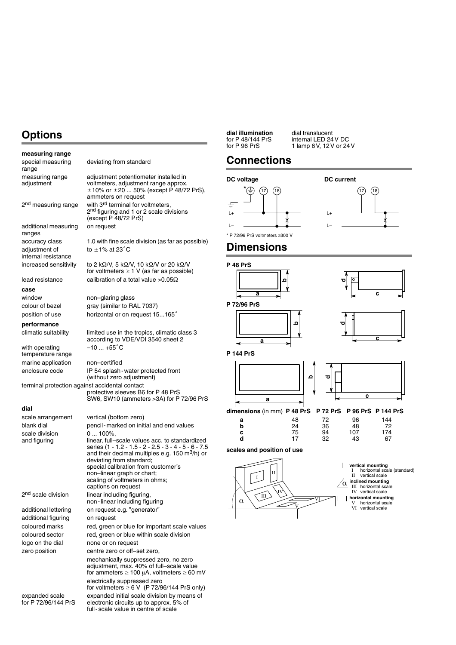## **Options**

| measuring range                                |                                                                                                                                                                                                                                                                                                                                 |
|------------------------------------------------|---------------------------------------------------------------------------------------------------------------------------------------------------------------------------------------------------------------------------------------------------------------------------------------------------------------------------------|
| special measuring<br>range                     | deviating from standard                                                                                                                                                                                                                                                                                                         |
| measuring range<br>adjustment                  | adjustment potentiometer installed in<br>voltmeters, adjustment range approx.<br>±10% or ±20  50% (except P 48/72 PrS),<br>ammeters on request                                                                                                                                                                                  |
| 2 <sup>nd</sup> measuring range                | with 3rd terminal for voltmeters,<br>2 <sup>nd</sup> figuring and 1 or 2 scale divisions<br>(except P 48/72 PrS)                                                                                                                                                                                                                |
| additional measuring<br>ranges                 | on request                                                                                                                                                                                                                                                                                                                      |
| accuracy class                                 | 1.0 with fine scale division (as far as possible)                                                                                                                                                                                                                                                                               |
| adjustment of<br>internal resistance           | to $\pm$ 1% at 23 $^{\circ}$ C                                                                                                                                                                                                                                                                                                  |
| increased sensitivity                          | to 2 k $\Omega$ /V, 5 k $\Omega$ /V, 10 k $\Omega$ /V or 20 k $\Omega$ /V<br>for voltmeters $\geq 1$ V (as far as possible)                                                                                                                                                                                                     |
| lead resistance                                | calibration of a total value > $0.05\Omega$                                                                                                                                                                                                                                                                                     |
| case                                           |                                                                                                                                                                                                                                                                                                                                 |
| window                                         | non-glaring glass                                                                                                                                                                                                                                                                                                               |
| colour of bezel                                | gray (similar to RAL 7037)                                                                                                                                                                                                                                                                                                      |
| position of use                                | horizontal or on request 15165°                                                                                                                                                                                                                                                                                                 |
| performance                                    |                                                                                                                                                                                                                                                                                                                                 |
| climatic suitability                           | limited use in the tropics, climatic class 3<br>according to VDE/VDI 3540 sheet 2                                                                                                                                                                                                                                               |
| with operating<br>temperature range            | $-10+55^{\circ}C$                                                                                                                                                                                                                                                                                                               |
| marine application                             | non-certified                                                                                                                                                                                                                                                                                                                   |
| enclosure code                                 | IP 54 splash - water protected front<br>(without zero adjustment)                                                                                                                                                                                                                                                               |
| terminal protection against accidental contact | protective sleeves B6 for P 48 PrS<br>SW6, SW10 (ammeters > 3A) for P 72/96 PrS                                                                                                                                                                                                                                                 |
| dial                                           |                                                                                                                                                                                                                                                                                                                                 |
| scale arrangement                              | vertical (bottom zero)                                                                                                                                                                                                                                                                                                          |
| blank dial                                     | pencil-marked on initial and end values                                                                                                                                                                                                                                                                                         |
| scale division                                 | $0100\%$ .                                                                                                                                                                                                                                                                                                                      |
| and figuring                                   | linear, full-scale values acc. to standardized<br>series (1 - 1.2 - 1.5 - 2 - 2.5 - 3 - 4 - 5 - 6 - 7.5<br>and their decimal multiples e.g. 150 m <sup>3</sup> /h) or<br>deviating from standard;<br>special calibration from customer's<br>non-linear graph or chart;<br>scaling of voltmeters in ohms;<br>captions on request |
| 2 <sup>nd</sup> scale division                 | linear including figuring,<br>non-linear including figuring                                                                                                                                                                                                                                                                     |
| additional lettering                           | on request e.g. "generator"                                                                                                                                                                                                                                                                                                     |
| additional figuring                            | on request                                                                                                                                                                                                                                                                                                                      |
| coloured marks                                 | red, green or blue for important scale values                                                                                                                                                                                                                                                                                   |
| coloured sector                                | red, green or blue within scale division                                                                                                                                                                                                                                                                                        |
| logo on the dial                               | none or on request                                                                                                                                                                                                                                                                                                              |
| zero position                                  | centre zero or off-set zero,                                                                                                                                                                                                                                                                                                    |
|                                                | mechanically suppressed zero, no zero<br>adjustment, max. 40% of full-scale value<br>for ammeters $\geq 100$ µA, voltmeters $\geq 60$ mV                                                                                                                                                                                        |
|                                                | electrically suppressed zero<br>for voltmeters $\geq 6$ V (P 72/96/144 PrS only)                                                                                                                                                                                                                                                |
| expanded scale<br>for P 72/96/144 PrS          | expanded initial scale division by means of<br>electronic circuits up to approx. 5% of<br>full-scale value in centre of scale                                                                                                                                                                                                   |

**dial illumination** dial translucent<br>for P 48/144 PrS internal LED 24<br>for P 96 PrS 1 lamp 6 V, 12 V for P 96 PrS 1 lamp 6V, 12V or 24V

for P 48/144 PrS internal LED 24V DC

### **Connections**





\* P 72/96 PrS voltmeters ≥300 V

#### **Dimensions**



 $\overline{\mathsf{V}}$ 

 $\alpha \setminus \sqrt{m}$ 

 $\overline{\rm v}$ 

# **horizontal mounting** - horizontal scale - vertical scale